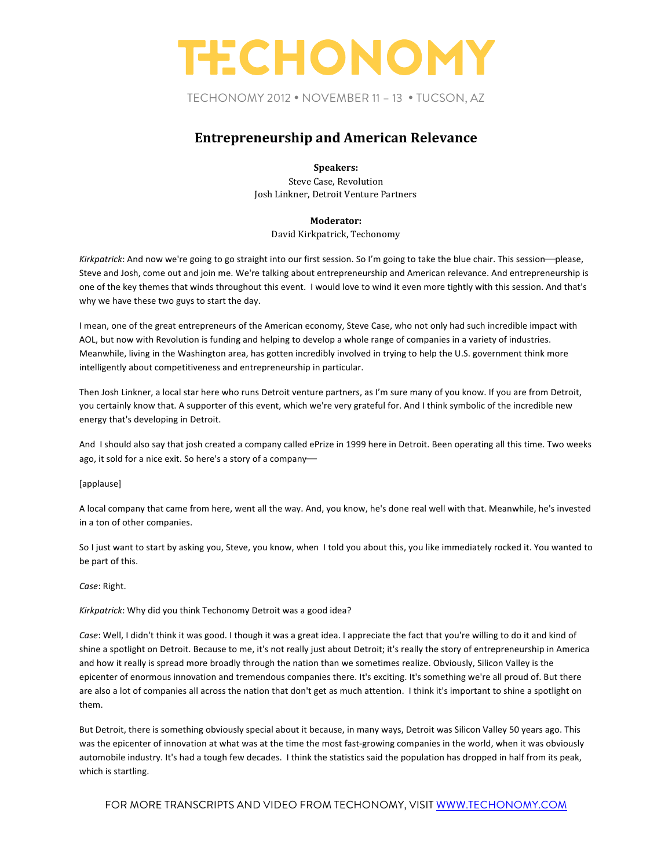TECHONOMY 2012 • NOVEMBER 11 – 13 • TUCSON, AZ

### **Entrepreneurship and American Relevance**

#### **Speakers:**

Steve Case, Revolution Josh Linkner, Detroit Venture Partners

### **Moderator:**

David Kirkpatrick, Techonomy

Kirkpatrick: And now we're going to go straight into our first session. So I'm going to take the blue chair. This session—please, Steve and Josh, come out and join me. We're talking about entrepreneurship and American relevance. And entrepreneurship is one of the key themes that winds throughout this event. I would love to wind it even more tightly with this session. And that's why we have these two guys to start the day.

I mean, one of the great entrepreneurs of the American economy, Steve Case, who not only had such incredible impact with AOL, but now with Revolution is funding and helping to develop a whole range of companies in a variety of industries. Meanwhile, living in the Washington area, has gotten incredibly involved in trying to help the U.S. government think more intelligently about competitiveness and entrepreneurship in particular.

Then Josh Linkner, a local star here who runs Detroit venture partners, as I'm sure many of you know. If you are from Detroit, you certainly know that. A supporter of this event, which we're very grateful for. And I think symbolic of the incredible new energy that's developing in Detroit.

And I should also say that josh created a company called ePrize in 1999 here in Detroit. Been operating all this time. Two weeks ago, it sold for a nice exit. So here's a story of a company-

### [applause]

A local company that came from here, went all the way. And, you know, he's done real well with that. Meanwhile, he's invested in a ton of other companies.

So I just want to start by asking you, Steve, you know, when I told you about this, you like immediately rocked it. You wanted to be part of this.

### *Case*: Right.

Kirkpatrick: Why did you think Techonomy Detroit was a good idea?

Case: Well, I didn't think it was good. I though it was a great idea. I appreciate the fact that you're willing to do it and kind of shine a spotlight on Detroit. Because to me, it's not really just about Detroit; it's really the story of entrepreneurship in America and how it really is spread more broadly through the nation than we sometimes realize. Obviously, Silicon Valley is the epicenter of enormous innovation and tremendous companies there. It's exciting. It's something we're all proud of. But there are also a lot of companies all across the nation that don't get as much attention. I think it's important to shine a spotlight on them.

But Detroit, there is something obviously special about it because, in many ways, Detroit was Silicon Valley 50 years ago. This was the epicenter of innovation at what was at the time the most fast-growing companies in the world, when it was obviously automobile industry. It's had a tough few decades. I think the statistics said the population has dropped in half from its peak, which is startling.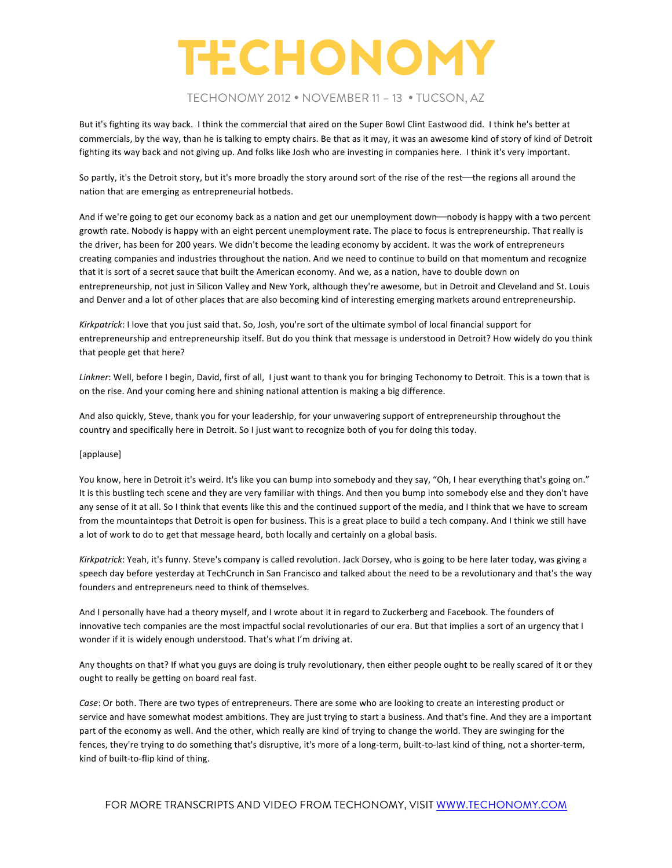### TECHONOMY 2012 • NOVEMBER 11 – 13 • TUCSON, AZ

But it's fighting its way back. I think the commercial that aired on the Super Bowl Clint Eastwood did. I think he's better at commercials, by the way, than he is talking to empty chairs. Be that as it may, it was an awesome kind of story of kind of Detroit fighting its way back and not giving up. And folks like Josh who are investing in companies here. I think it's very important.

So partly, it's the Detroit story, but it's more broadly the story around sort of the rise of the rest—the regions all around the nation that are emerging as entrepreneurial hotbeds.

And if we're going to get our economy back as a nation and get our unemployment down—nobody is happy with a two percent growth rate. Nobody is happy with an eight percent unemployment rate. The place to focus is entrepreneurship. That really is the driver, has been for 200 years. We didn't become the leading economy by accident. It was the work of entrepreneurs creating companies and industries throughout the nation. And we need to continue to build on that momentum and recognize that it is sort of a secret sauce that built the American economy. And we, as a nation, have to double down on entrepreneurship, not just in Silicon Valley and New York, although they're awesome, but in Detroit and Cleveland and St. Louis and Denver and a lot of other places that are also becoming kind of interesting emerging markets around entrepreneurship.

*Kirkpatrick*: I love that you just said that. So, Josh, you're sort of the ultimate symbol of local financial support for entrepreneurship and entrepreneurship itself. But do you think that message is understood in Detroit? How widely do you think that people get that here?

Linkner: Well, before I begin, David, first of all, I just want to thank you for bringing Techonomy to Detroit. This is a town that is on the rise. And your coming here and shining national attention is making a big difference.

And also quickly, Steve, thank you for your leadership, for your unwavering support of entrepreneurship throughout the country and specifically here in Detroit. So I just want to recognize both of you for doing this today.

#### [applause]

You know, here in Detroit it's weird. It's like you can bump into somebody and they say, "Oh, I hear everything that's going on." It is this bustling tech scene and they are very familiar with things. And then you bump into somebody else and they don't have any sense of it at all. So I think that events like this and the continued support of the media, and I think that we have to scream from the mountaintops that Detroit is open for business. This is a great place to build a tech company. And I think we still have a lot of work to do to get that message heard, both locally and certainly on a global basis.

Kirkpatrick: Yeah, it's funny. Steve's company is called revolution. Jack Dorsey, who is going to be here later today, was giving a speech day before yesterday at TechCrunch in San Francisco and talked about the need to be a revolutionary and that's the way founders and entrepreneurs need to think of themselves.

And I personally have had a theory myself, and I wrote about it in regard to Zuckerberg and Facebook. The founders of innovative tech companies are the most impactful social revolutionaries of our era. But that implies a sort of an urgency that I wonder if it is widely enough understood. That's what I'm driving at.

Any thoughts on that? If what you guys are doing is truly revolutionary, then either people ought to be really scared of it or they ought to really be getting on board real fast.

*Case*: Or both. There are two types of entrepreneurs. There are some who are looking to create an interesting product or service and have somewhat modest ambitions. They are just trying to start a business. And that's fine. And they are a important part of the economy as well. And the other, which really are kind of trying to change the world. They are swinging for the fences, they're trying to do something that's disruptive, it's more of a long-term, built-to-last kind of thing, not a shorter-term, kind of built-to-flip kind of thing.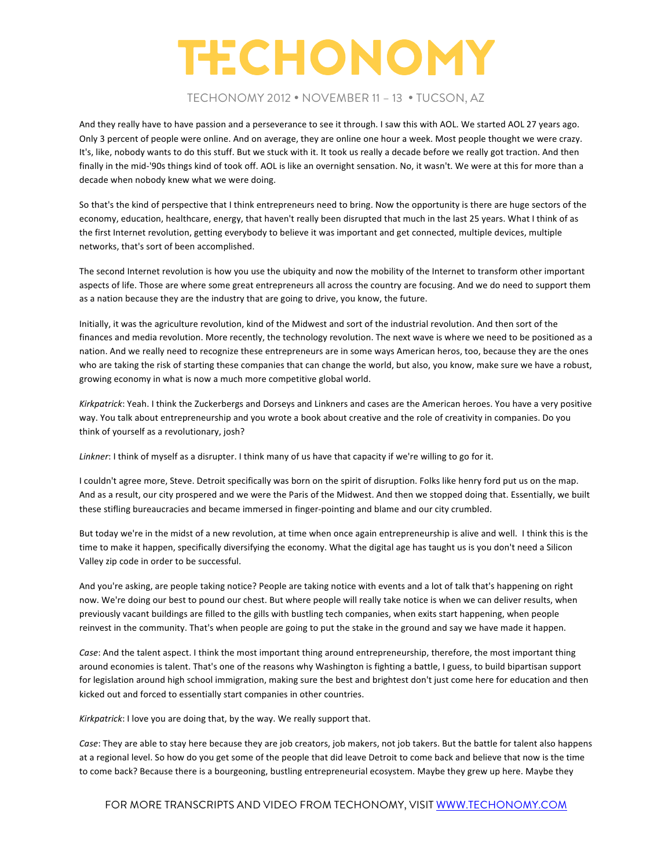### TECHONOMY 2012 • NOVEMBER 11 – 13 • TUCSON, AZ

And they really have to have passion and a perseverance to see it through. I saw this with AOL. We started AOL 27 years ago. Only 3 percent of people were online. And on average, they are online one hour a week. Most people thought we were crazy. It's, like, nobody wants to do this stuff. But we stuck with it. It took us really a decade before we really got traction. And then finally in the mid-'90s things kind of took off. AOL is like an overnight sensation. No, it wasn't. We were at this for more than a decade when nobody knew what we were doing.

So that's the kind of perspective that I think entrepreneurs need to bring. Now the opportunity is there are huge sectors of the economy, education, healthcare, energy, that haven't really been disrupted that much in the last 25 years. What I think of as the first Internet revolution, getting everybody to believe it was important and get connected, multiple devices, multiple networks, that's sort of been accomplished.

The second Internet revolution is how you use the ubiquity and now the mobility of the Internet to transform other important aspects of life. Those are where some great entrepreneurs all across the country are focusing. And we do need to support them as a nation because they are the industry that are going to drive, you know, the future.

Initially, it was the agriculture revolution, kind of the Midwest and sort of the industrial revolution. And then sort of the finances and media revolution. More recently, the technology revolution. The next wave is where we need to be positioned as a nation. And we really need to recognize these entrepreneurs are in some ways American heros, too, because they are the ones who are taking the risk of starting these companies that can change the world, but also, you know, make sure we have a robust, growing economy in what is now a much more competitive global world.

*Kirkpatrick*: Yeah. I think the Zuckerbergs and Dorseys and Linkners and cases are the American heroes. You have a very positive way. You talk about entrepreneurship and you wrote a book about creative and the role of creativity in companies. Do you think of yourself as a revolutionary, josh?

*Linkner*: I think of myself as a disrupter. I think many of us have that capacity if we're willing to go for it.

I couldn't agree more, Steve. Detroit specifically was born on the spirit of disruption. Folks like henry ford put us on the map. And as a result, our city prospered and we were the Paris of the Midwest. And then we stopped doing that. Essentially, we built these stifling bureaucracies and became immersed in finger-pointing and blame and our city crumbled.

But today we're in the midst of a new revolution, at time when once again entrepreneurship is alive and well. I think this is the time to make it happen, specifically diversifying the economy. What the digital age has taught us is you don't need a Silicon Valley zip code in order to be successful.

And you're asking, are people taking notice? People are taking notice with events and a lot of talk that's happening on right now. We're doing our best to pound our chest. But where people will really take notice is when we can deliver results, when previously vacant buildings are filled to the gills with bustling tech companies, when exits start happening, when people reinvest in the community. That's when people are going to put the stake in the ground and say we have made it happen.

*Case*: And the talent aspect. I think the most important thing around entrepreneurship, therefore, the most important thing around economies is talent. That's one of the reasons why Washington is fighting a battle, I guess, to build bipartisan support for legislation around high school immigration, making sure the best and brightest don't just come here for education and then kicked out and forced to essentially start companies in other countries.

*Kirkpatrick*: I love you are doing that, by the way. We really support that.

*Case*: They are able to stay here because they are job creators, job makers, not job takers. But the battle for talent also happens at a regional level. So how do you get some of the people that did leave Detroit to come back and believe that now is the time to come back? Because there is a bourgeoning, bustling entrepreneurial ecosystem. Maybe they grew up here. Maybe they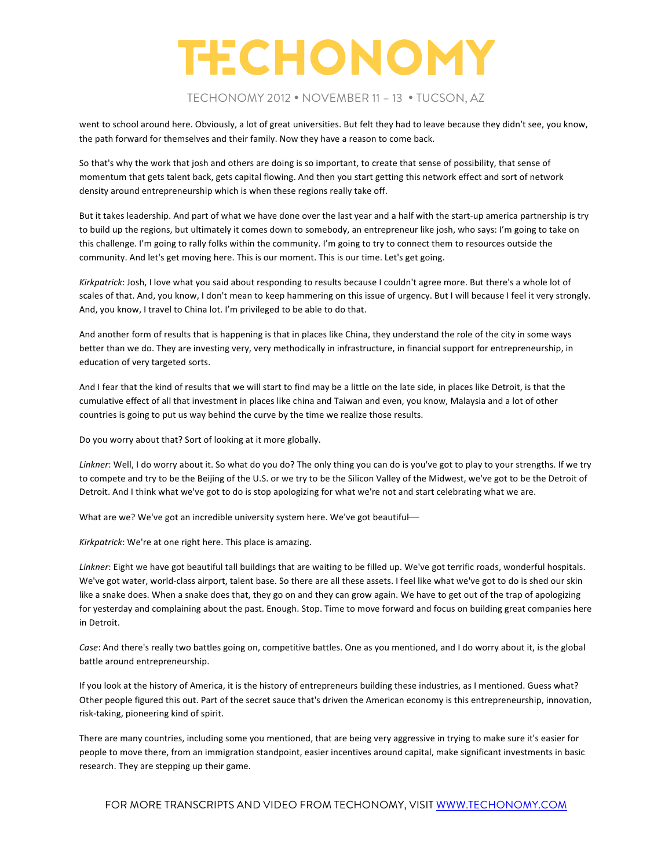### TECHONOMY 2012 • NOVEMBER 11 – 13 • TUCSON, AZ

went to school around here. Obviously, a lot of great universities. But felt they had to leave because they didn't see, you know, the path forward for themselves and their family. Now they have a reason to come back.

So that's why the work that josh and others are doing is so important, to create that sense of possibility, that sense of momentum that gets talent back, gets capital flowing. And then you start getting this network effect and sort of network density around entrepreneurship which is when these regions really take off.

But it takes leadership. And part of what we have done over the last year and a half with the start-up america partnership is try to build up the regions, but ultimately it comes down to somebody, an entrepreneur like josh, who says: I'm going to take on this challenge. I'm going to rally folks within the community. I'm going to try to connect them to resources outside the community. And let's get moving here. This is our moment. This is our time. Let's get going.

*Kirkpatrick*: Josh, I love what you said about responding to results because I couldn't agree more. But there's a whole lot of scales of that. And, you know, I don't mean to keep hammering on this issue of urgency. But I will because I feel it very strongly. And, you know, I travel to China lot. I'm privileged to be able to do that.

And another form of results that is happening is that in places like China, they understand the role of the city in some ways better than we do. They are investing very, very methodically in infrastructure, in financial support for entrepreneurship, in education of very targeted sorts.

And I fear that the kind of results that we will start to find may be a little on the late side, in places like Detroit, is that the cumulative effect of all that investment in places like china and Taiwan and even, you know, Malaysia and a lot of other countries is going to put us way behind the curve by the time we realize those results.

Do you worry about that? Sort of looking at it more globally.

Linkner: Well, I do worry about it. So what do you do? The only thing you can do is you've got to play to your strengths. If we try to compete and try to be the Beijing of the U.S. or we try to be the Silicon Valley of the Midwest, we've got to be the Detroit of Detroit. And I think what we've got to do is stop apologizing for what we're not and start celebrating what we are.

What are we? We've got an incredible university system here. We've got beautiful—

*Kirkpatrick*: We're at one right here. This place is amazing.

Linkner: Eight we have got beautiful tall buildings that are waiting to be filled up. We've got terrific roads, wonderful hospitals. We've got water, world-class airport, talent base. So there are all these assets. I feel like what we've got to do is shed our skin like a snake does. When a snake does that, they go on and they can grow again. We have to get out of the trap of apologizing for yesterday and complaining about the past. Enough. Stop. Time to move forward and focus on building great companies here in Detroit.

*Case*: And there's really two battles going on, competitive battles. One as you mentioned, and I do worry about it, is the global battle around entrepreneurship.

If you look at the history of America, it is the history of entrepreneurs building these industries, as I mentioned. Guess what? Other people figured this out. Part of the secret sauce that's driven the American economy is this entrepreneurship, innovation, risk-taking, pioneering kind of spirit.

There are many countries, including some you mentioned, that are being very aggressive in trying to make sure it's easier for people to move there, from an immigration standpoint, easier incentives around capital, make significant investments in basic research. They are stepping up their game.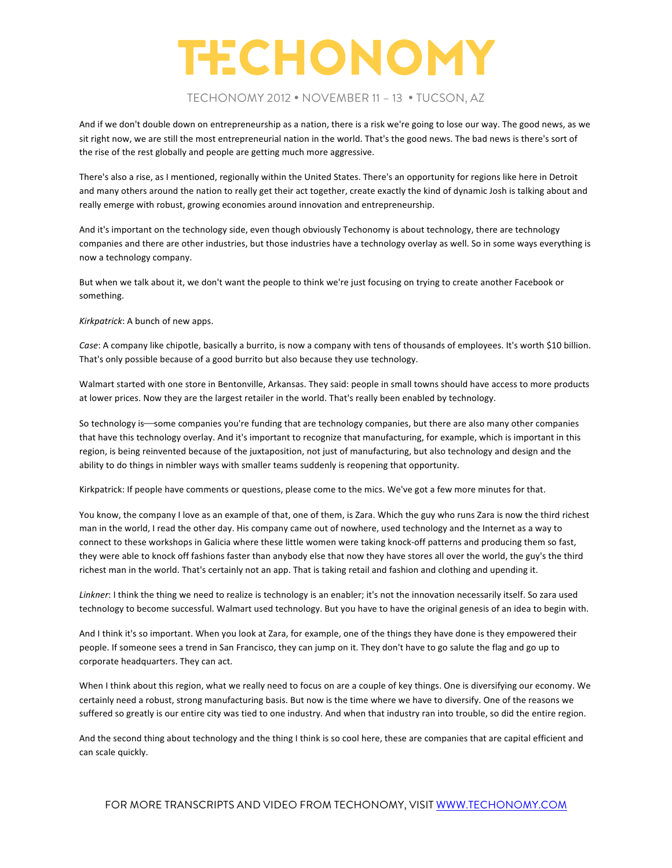### TECHONOMY 2012 • NOVEMBER 11 – 13 • TUCSON, AZ

And if we don't double down on entrepreneurship as a nation, there is a risk we're going to lose our way. The good news, as we sit right now, we are still the most entrepreneurial nation in the world. That's the good news. The bad news is there's sort of the rise of the rest globally and people are getting much more aggressive.

There's also a rise, as I mentioned, regionally within the United States. There's an opportunity for regions like here in Detroit and many others around the nation to really get their act together, create exactly the kind of dynamic Josh is talking about and really emerge with robust, growing economies around innovation and entrepreneurship.

And it's important on the technology side, even though obviously Techonomy is about technology, there are technology companies and there are other industries, but those industries have a technology overlay as well. So in some ways everything is now a technology company.

But when we talk about it, we don't want the people to think we're just focusing on trying to create another Facebook or something.

*Kirkpatrick*: A bunch of new apps.

*Case*: A company like chipotle, basically a burrito, is now a company with tens of thousands of employees. It's worth \$10 billion. That's only possible because of a good burrito but also because they use technology.

Walmart started with one store in Bentonville, Arkansas. They said: people in small towns should have access to more products at lower prices. Now they are the largest retailer in the world. That's really been enabled by technology.

So technology is—some companies you're funding that are technology companies, but there are also many other companies that have this technology overlay. And it's important to recognize that manufacturing, for example, which is important in this region, is being reinvented because of the juxtaposition, not just of manufacturing, but also technology and design and the ability to do things in nimbler ways with smaller teams suddenly is reopening that opportunity.

Kirkpatrick: If people have comments or questions, please come to the mics. We've got a few more minutes for that.

You know, the company I love as an example of that, one of them, is Zara. Which the guy who runs Zara is now the third richest man in the world, I read the other day. His company came out of nowhere, used technology and the Internet as a way to connect to these workshops in Galicia where these little women were taking knock-off patterns and producing them so fast, they were able to knock off fashions faster than anybody else that now they have stores all over the world, the guy's the third richest man in the world. That's certainly not an app. That is taking retail and fashion and clothing and upending it.

Linkner: I think the thing we need to realize is technology is an enabler; it's not the innovation necessarily itself. So zara used technology to become successful. Walmart used technology. But you have to have the original genesis of an idea to begin with.

And I think it's so important. When you look at Zara, for example, one of the things they have done is they empowered their people. If someone sees a trend in San Francisco, they can jump on it. They don't have to go salute the flag and go up to corporate headquarters. They can act.

When I think about this region, what we really need to focus on are a couple of key things. One is diversifying our economy. We certainly need a robust, strong manufacturing basis. But now is the time where we have to diversify. One of the reasons we suffered so greatly is our entire city was tied to one industry. And when that industry ran into trouble, so did the entire region.

And the second thing about technology and the thing I think is so cool here, these are companies that are capital efficient and can scale quickly.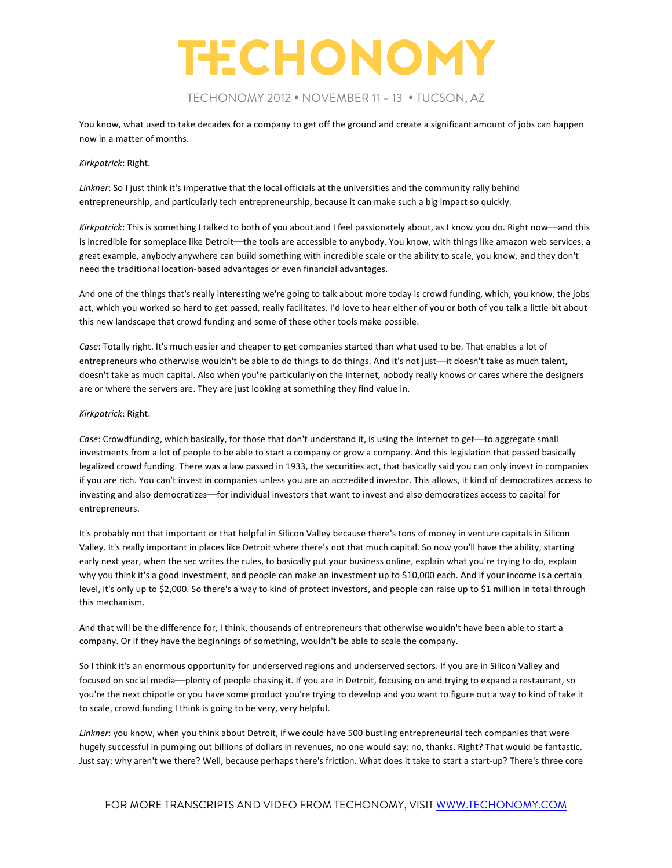TECHONOMY 2012 • NOVEMBER 11 – 13 • TUCSON, AZ

You know, what used to take decades for a company to get off the ground and create a significant amount of jobs can happen now in a matter of months.

#### *Kirkpatrick*: Right.

*Linkner*: So I just think it's imperative that the local officials at the universities and the community rally behind entrepreneurship, and particularly tech entrepreneurship, because it can make such a big impact so quickly.

*Kirkpatrick*: This is something I talked to both of you about and I feel passionately about, as I know you do. Right now—and this is incredible for someplace like Detroit—the tools are accessible to anybody. You know, with things like amazon web services, a great example, anybody anywhere can build something with incredible scale or the ability to scale, you know, and they don't need the traditional location-based advantages or even financial advantages.

And one of the things that's really interesting we're going to talk about more today is crowd funding, which, you know, the jobs act, which you worked so hard to get passed, really facilitates. I'd love to hear either of you or both of you talk a little bit about this new landscape that crowd funding and some of these other tools make possible.

*Case*: Totally right. It's much easier and cheaper to get companies started than what used to be. That enables a lot of entrepreneurs who otherwise wouldn't be able to do things to do things. And it's not just—it doesn't take as much talent, doesn't take as much capital. Also when you're particularly on the Internet, nobody really knows or cares where the designers are or where the servers are. They are just looking at something they find value in.

#### *Kirkpatrick*: Right.

*Case*: Crowdfunding, which basically, for those that don't understand it, is using the Internet to get—to aggregate small investments from a lot of people to be able to start a company or grow a company. And this legislation that passed basically legalized crowd funding. There was a law passed in 1933, the securities act, that basically said you can only invest in companies if you are rich. You can't invest in companies unless you are an accredited investor. This allows, it kind of democratizes access to investing and also democratizes—for individual investors that want to invest and also democratizes access to capital for entrepreneurs.

It's probably not that important or that helpful in Silicon Valley because there's tons of money in venture capitals in Silicon Valley. It's really important in places like Detroit where there's not that much capital. So now you'll have the ability, starting early next year, when the sec writes the rules, to basically put your business online, explain what you're trying to do, explain why you think it's a good investment, and people can make an investment up to \$10,000 each. And if your income is a certain level, it's only up to \$2,000. So there's a way to kind of protect investors, and people can raise up to \$1 million in total through this mechanism.

And that will be the difference for, I think, thousands of entrepreneurs that otherwise wouldn't have been able to start a company. Or if they have the beginnings of something, wouldn't be able to scale the company.

So I think it's an enormous opportunity for underserved regions and underserved sectors. If you are in Silicon Valley and focused on social media—plenty of people chasing it. If you are in Detroit, focusing on and trying to expand a restaurant, so you're the next chipotle or you have some product you're trying to develop and you want to figure out a way to kind of take it to scale, crowd funding I think is going to be very, very helpful.

Linkner: you know, when you think about Detroit, if we could have 500 bustling entrepreneurial tech companies that were hugely successful in pumping out billions of dollars in revenues, no one would say: no, thanks. Right? That would be fantastic. Just say: why aren't we there? Well, because perhaps there's friction. What does it take to start a start-up? There's three core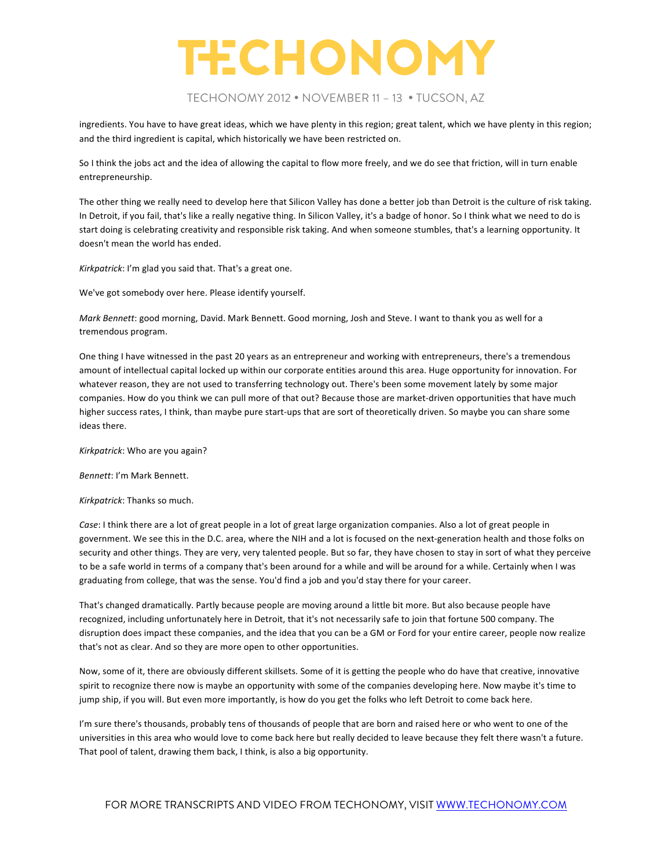### TECHONOMY 2012 • NOVEMBER 11 – 13 • TUCSON, AZ

ingredients. You have to have great ideas, which we have plenty in this region; great talent, which we have plenty in this region; and the third ingredient is capital, which historically we have been restricted on.

So I think the jobs act and the idea of allowing the capital to flow more freely, and we do see that friction, will in turn enable entrepreneurship.

The other thing we really need to develop here that Silicon Valley has done a better job than Detroit is the culture of risk taking. In Detroit, if you fail, that's like a really negative thing. In Silicon Valley, it's a badge of honor. So I think what we need to do is start doing is celebrating creativity and responsible risk taking. And when someone stumbles, that's a learning opportunity. It doesn't mean the world has ended.

*Kirkpatrick*: I'm glad you said that. That's a great one.

We've got somebody over here. Please identify yourself.

*Mark Bennett*: good morning, David. Mark Bennett. Good morning, Josh and Steve. I want to thank you as well for a tremendous program.

One thing I have witnessed in the past 20 years as an entrepreneur and working with entrepreneurs, there's a tremendous amount of intellectual capital locked up within our corporate entities around this area. Huge opportunity for innovation. For whatever reason, they are not used to transferring technology out. There's been some movement lately by some major companies. How do you think we can pull more of that out? Because those are market-driven opportunities that have much higher success rates, I think, than maybe pure start-ups that are sort of theoretically driven. So maybe you can share some ideas there.

Kirkpatrick: Who are you again?

*Bennett*: I'm Mark Bennett.

*Kirkpatrick*: Thanks so much.

*Case*: I think there are a lot of great people in a lot of great large organization companies. Also a lot of great people in government. We see this in the D.C. area, where the NIH and a lot is focused on the next-generation health and those folks on security and other things. They are very, very talented people. But so far, they have chosen to stay in sort of what they perceive to be a safe world in terms of a company that's been around for a while and will be around for a while. Certainly when I was graduating from college, that was the sense. You'd find a job and you'd stay there for your career.

That's changed dramatically. Partly because people are moving around a little bit more. But also because people have recognized, including unfortunately here in Detroit, that it's not necessarily safe to join that fortune 500 company. The disruption does impact these companies, and the idea that you can be a GM or Ford for your entire career, people now realize that's not as clear. And so they are more open to other opportunities.

Now, some of it, there are obviously different skillsets. Some of it is getting the people who do have that creative, innovative spirit to recognize there now is maybe an opportunity with some of the companies developing here. Now maybe it's time to jump ship, if you will. But even more importantly, is how do you get the folks who left Detroit to come back here.

I'm sure there's thousands, probably tens of thousands of people that are born and raised here or who went to one of the universities in this area who would love to come back here but really decided to leave because they felt there wasn't a future. That pool of talent, drawing them back, I think, is also a big opportunity.